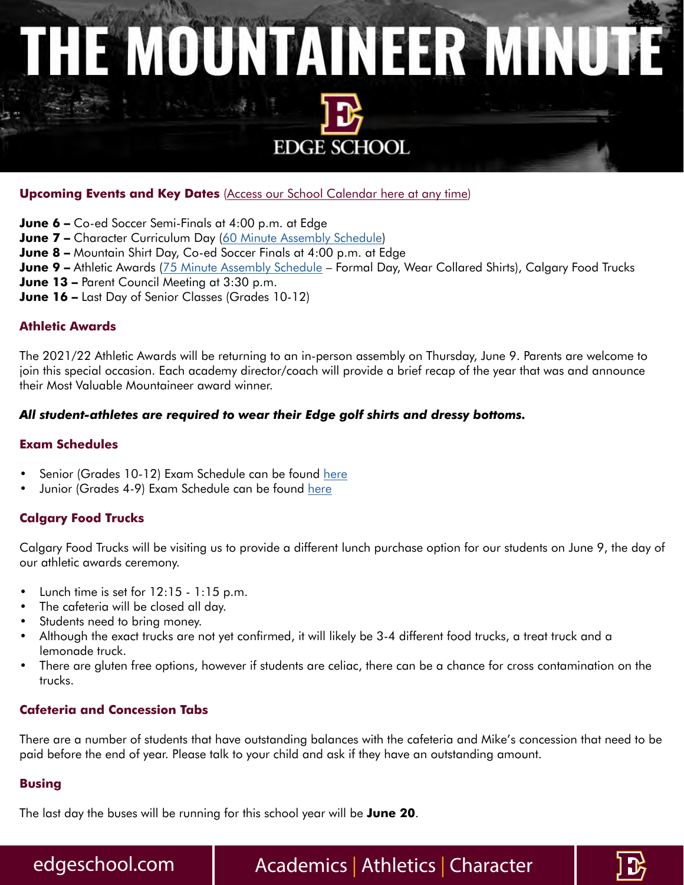# THE MOUNTAINEER MINUTE **EDGE SCHOOL**

#### **Upcoming Events and Key Dates** [\(Access our School Calendar here at any time\)](https://edgeschool.com/calendar/)

**June 6 –** Co-ed Soccer Semi-Finals at 4:00 p.m. at Edge

- **June 7 –** Character Curriculum Day [\(60 Minute Assembly Schedule](https://edgeschool.com/wp-content/uploads/2022/01/Assembly-Schedule.pdf))
- **June 8** Mountain Shirt Day, Co-ed Soccer Finals at 4:00 p.m. at Edge
- **June 9 –** Athletic Awards ([75 Minute Assembly Schedule](https://edgeschool.com/wp-content/uploads/2022/05/75-Minute-Assembly-Schedule.pdf)  Formal Day, Wear Collared Shirts), Calgary Food Trucks
- **June 13 –** Parent Council Meeting at 3:30 p.m.
- **June 16 –** Last Day of Senior Classes (Grades 10-12)

#### **Athletic Awards**

The 2021/22 Athletic Awards will be returning to an in-person assembly on Thursday, June 9. Parents are welcome to join this special occasion. Each academy director/coach will provide a brief recap of the year that was and announce their Most Valuable Mountaineer award winner.

#### *All student-athletes are required to wear their Edge golf shirts and dressy bottoms.*

#### **Exam Schedules**

- Senior (Grades 10-12) Exam Schedule can be found [here](https://edgeschool.com/wp-content/uploads/2022/04/Exam-Schedule-Grades-10-12-Edge-June-2022.pdf)
- Junior (Grades 4-9) Exam Schedule can be found [here](https://edgeschool.com/wp-content/uploads/2022/05/Exam-Schedule-Grades-4-9-June-2022.pdf)

#### **Calgary Food Trucks**

Calgary Food Trucks will be visiting us to provide a different lunch purchase option for our students on June 9, the day of our athletic awards ceremony.

- Lunch time is set for  $12:15 1:15$  p.m.
- The cafeteria will be closed all day.
- Students need to bring money.
- Although the exact trucks are not yet confirmed, it will likely be 3-4 different food trucks, a treat truck and a lemonade truck.
- There are gluten free options, however if students are celiac, there can be a chance for cross contamination on the trucks.

#### **Cafeteria and Concession Tabs**

There are a number of students that have outstanding balances with the cafeteria and Mike's concession that need to be paid before the end of year. Please talk to your child and ask if they have an outstanding amount.

#### **Busing**

The last day the buses will be running for this school year will be **June 20**.

edgeschool.com | Academics | Athletics | Character